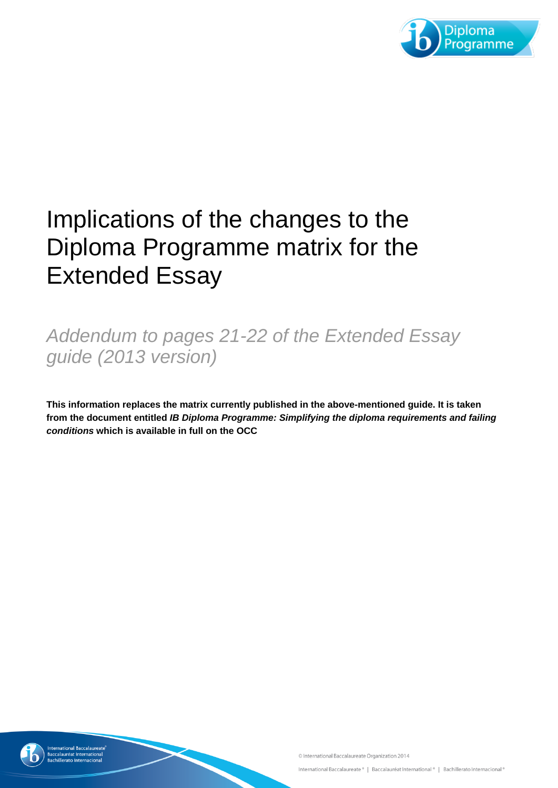

## Implications of the changes to the Diploma Programme matrix for the Extended Essay

## *Addendum to pages 21-22 of the Extended Essay guide (2013 version)*

**This information replaces the matrix currently published in the above-mentioned guide. It is taken from the document entitled** *IB Diploma Programme: Simplifying the diploma requirements and failing conditions* **which is available in full on the OCC**

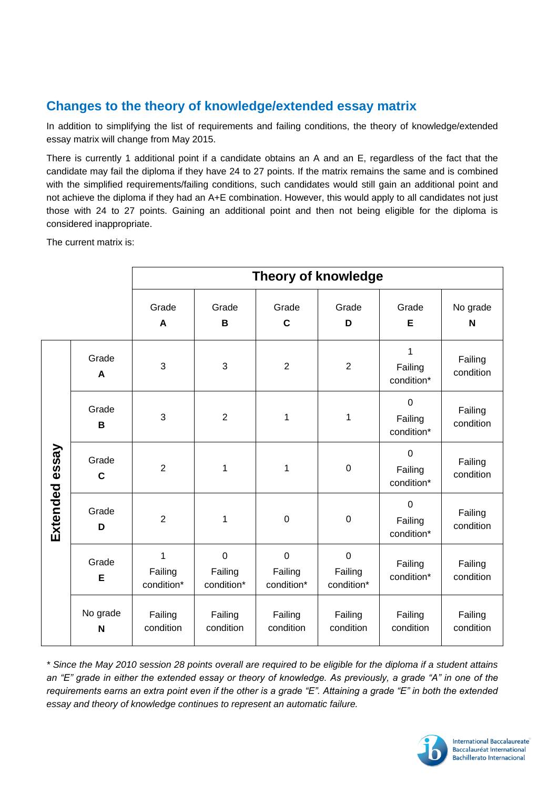## **Changes to the theory of knowledge/extended essay matrix**

In addition to simplifying the list of requirements and failing conditions, the theory of knowledge/extended essay matrix will change from May 2015.

There is currently 1 additional point if a candidate obtains an A and an E, regardless of the fact that the candidate may fail the diploma if they have 24 to 27 points. If the matrix remains the same and is combined with the simplified requirements/failing conditions, such candidates would still gain an additional point and not achieve the diploma if they had an A+E combination. However, this would apply to all candidates not just those with 24 to 27 points. Gaining an additional point and then not being eligible for the diploma is considered inappropriate.

The current matrix is:

|                |                      | <b>Theory of knowledge</b> |                                      |                                      |                                      |                                      |                      |  |  |
|----------------|----------------------|----------------------------|--------------------------------------|--------------------------------------|--------------------------------------|--------------------------------------|----------------------|--|--|
|                |                      | Grade<br>A                 | Grade<br>B                           | Grade<br>$\mathbf c$                 | Grade<br>D                           | Grade<br>E                           | No grade<br>N        |  |  |
| Extended essay | Grade<br>A           | 3                          | 3                                    | $\overline{2}$                       | $\overline{2}$                       | 1<br>Failing<br>condition*           | Failing<br>condition |  |  |
|                | Grade<br>B           | 3                          | $\overline{2}$                       | 1                                    | 1                                    | $\mathbf 0$<br>Failing<br>condition* | Failing<br>condition |  |  |
|                | Grade<br>$\mathbf C$ | $\overline{2}$             | 1                                    | 1                                    | $\boldsymbol{0}$                     | $\mathbf 0$<br>Failing<br>condition* | Failing<br>condition |  |  |
|                | Grade<br>D           | $\overline{2}$             | 1                                    | $\pmb{0}$                            | $\boldsymbol{0}$                     | $\mathbf 0$<br>Failing<br>condition* | Failing<br>condition |  |  |
|                | Grade<br>E           | 1<br>Failing<br>condition* | $\mathbf 0$<br>Failing<br>condition* | $\mathbf 0$<br>Failing<br>condition* | $\mathbf 0$<br>Failing<br>condition* | Failing<br>condition*                | Failing<br>condition |  |  |
|                | No grade<br>N        | Failing<br>condition       | Failing<br>condition                 | Failing<br>condition                 | Failing<br>condition                 | Failing<br>condition                 | Failing<br>condition |  |  |

*\* Since the May 2010 session 28 points overall are required to be eligible for the diploma if a student attains an "E" grade in either the extended essay or theory of knowledge. As previously, a grade "A" in one of the requirements earns an extra point even if the other is a grade "E". Attaining a grade "E" in both the extended essay and theory of knowledge continues to represent an automatic failure.*